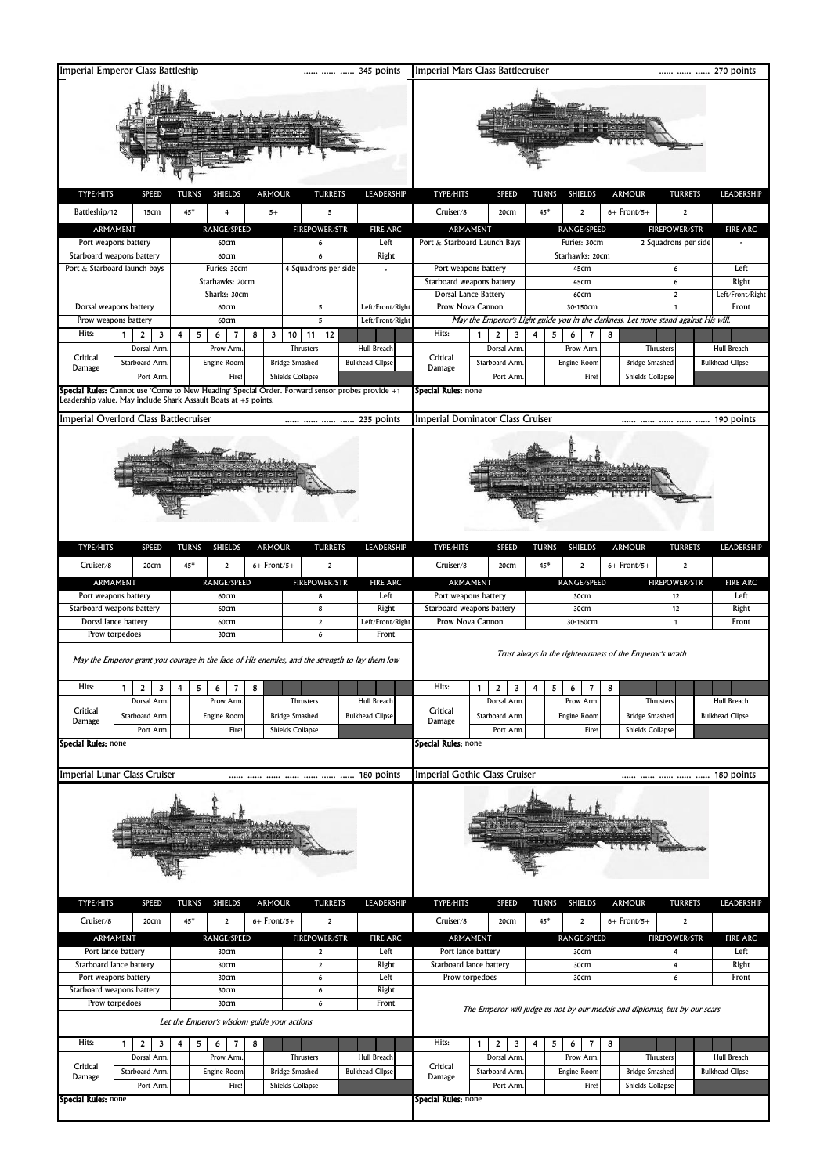| Imperial Emperor Class Battleship                                                                     |                                                                                                 | 345 points                         |                                       |                                               | Imperial Mars Class Battlecruiser |                                                                                                 |                                                                |                                              |  |
|-------------------------------------------------------------------------------------------------------|-------------------------------------------------------------------------------------------------|------------------------------------|---------------------------------------|-----------------------------------------------|-----------------------------------|-------------------------------------------------------------------------------------------------|----------------------------------------------------------------|----------------------------------------------|--|
| TYPE/HITS<br>SPEED<br><b>ARMOUR</b><br><b>TURRETS</b><br>LEADERSHIP<br><b>TURNS</b><br><b>SHIELDS</b> |                                                                                                 |                                    |                                       | 270 points                                    |                                   |                                                                                                 |                                                                |                                              |  |
|                                                                                                       |                                                                                                 |                                    |                                       | TYPE/HITS                                     | SPEED                             | <b>TURNS</b><br><b>SHIELDS</b><br><b>ARMOUR</b>                                                 | <b>TURRETS</b>                                                 | LEADERSHIP                                   |  |
| Battleship/12<br>15cm                                                                                 | 45*<br>4<br>$5+$                                                                                | 5                                  |                                       | Cruiser/8                                     | 20cm                              | 45*<br>$6+$ Front/5+<br>$\overline{\mathbf{2}}$                                                 | 2                                                              |                                              |  |
| ARMAMENT                                                                                              | RANGE/SPEED                                                                                     | <b>FIREPOWER/STR</b>               | <b>FIRE ARC</b>                       |                                               | ARMAMENT                          | RANGE/SPEED                                                                                     | <b>FIREPOWER/STR</b>                                           | <b>FIRE ARC</b>                              |  |
| Port weapons battery<br>Starboard weapons battery                                                     | 60cm<br>60cm                                                                                    | 6<br>6                             | Left<br>Right                         | Port & Starboard Launch Bays                  |                                   | Furies: 30cm<br>Starhawks: 20cm                                                                 | 2 Squadrons per side                                           |                                              |  |
| Port & Starboard launch bays                                                                          | Furies: 30cm                                                                                    | 4 Squadrons per side               |                                       |                                               | Port weapons battery              | 45cm                                                                                            | 6                                                              | Left                                         |  |
|                                                                                                       | Starhawks: 20cm                                                                                 |                                    |                                       | Starboard weapons battery                     |                                   | 45cm                                                                                            | 6                                                              | Right                                        |  |
|                                                                                                       | Sharks: 30cm                                                                                    | 5                                  |                                       |                                               | Dorsal Lance Battery              | 60cm                                                                                            | $\mathbf 2$                                                    | Left/Front/Right                             |  |
| Dorsal weapons battery                                                                                | 60cm<br>Prow weapons battery<br>60cm                                                            |                                    | Left/Front/Right<br>Left/Front/Right  | Prow Nova Cannon                              |                                   | 30-150cm<br>May the Emperor's Light guide you in the darkness. Let none stand against His will. | $\mathbf{1}$                                                   | Front                                        |  |
| Hits:<br>1<br>2<br>3                                                                                  | 5<br>8<br>3<br>4<br>6<br>7                                                                      | 5<br>12<br>10<br>11                |                                       | Hits:                                         | 1<br>2<br>3                       | 5<br>8<br>6<br>7<br>4                                                                           |                                                                |                                              |  |
| Dorsal Arm                                                                                            | Prow Arm                                                                                        | Thrusters                          | <b>Hull Breach</b>                    |                                               | Dorsal Arm                        | Prow Arm                                                                                        | Thrusters                                                      | Hull Breach                                  |  |
| Critical<br>Starboard Arm.<br>Damage                                                                  | Engine Room                                                                                     | <b>Bridge Smashed</b>              | <b>Bulkhead Clipse</b>                | Critical<br>Damage                            | Starboard Arm                     | Engine Room                                                                                     | <b>Bridge Smashed</b>                                          | <b>Bulkhead Clipse</b>                       |  |
| Port Arm                                                                                              | Fire!                                                                                           | <b>Shields Collapse</b>            |                                       |                                               | Port Arm                          | Fire!                                                                                           | <b>Shields Collapse</b>                                        |                                              |  |
| Leadership value. May include Shark Assault Boats at +5 points.                                       | Special Rules: Cannot use 'Come to New Heading' Special Order. Forward sensor probes provide +1 |                                    |                                       | Special Rules: none                           |                                   |                                                                                                 |                                                                |                                              |  |
| Imperial Overlord Class Battlecruiser                                                                 |                                                                                                 |                                    | 235 points                            |                                               | Imperial Dominator Class Cruiser  |                                                                                                 |                                                                | 190 points                                   |  |
|                                                                                                       |                                                                                                 |                                    |                                       |                                               |                                   |                                                                                                 |                                                                |                                              |  |
|                                                                                                       |                                                                                                 |                                    |                                       |                                               |                                   |                                                                                                 |                                                                |                                              |  |
| TYPE/HITS<br>SPEED                                                                                    | <b>ARMOUR</b><br><b>TURNS</b><br><b>SHIELDS</b>                                                 | <b>TURRETS</b>                     | LEADERSHIP                            | TYPE/HITS                                     | SPEED                             | <b>SHIELDS</b><br><b>ARMOUR</b><br><b>TURNS</b>                                                 | <b>TURRETS</b>                                                 | LEADERSHIP                                   |  |
| Cruiser/8<br>20cm                                                                                     | $6+$ Front/5+<br>45*<br>$\overline{\mathbf{2}}$                                                 | 2                                  |                                       | Cruiser/8                                     | 20cm                              | $6+$ Front/5+<br>45*<br>$\overline{2}$                                                          | $\mathbf 2$                                                    |                                              |  |
| ARMAMENT                                                                                              | RANGE/SPEED                                                                                     | <b>FIREPOWER/STR</b>               | <b>FIRE ARC</b>                       |                                               | ARMAMENT                          | RANGE/SPEED                                                                                     | <b>FIREPOWER/STR</b>                                           | <b>FIRE ARC</b>                              |  |
| Port weapons battery                                                                                  | 60cm                                                                                            | 8                                  | Left                                  |                                               | Port weapons battery              | 30cm                                                                                            | 12                                                             | Left                                         |  |
| Starboard weapons battery<br>Dorssl lance battery                                                     | 60cm<br>60cm                                                                                    | 8<br>$\overline{2}$                | Right<br>Left/Front/Right             | Starboard weapons battery<br>Prow Nova Cannon |                                   | 30cm<br>30-150cm                                                                                | 12<br>1                                                        | Right<br>Front                               |  |
| Prow torpedoes                                                                                        | 30cm                                                                                            | 6                                  | Front                                 |                                               |                                   |                                                                                                 |                                                                |                                              |  |
|                                                                                                       | May the Emperor grant you courage in the face of His enemies, and the strength to lay them low  |                                    |                                       |                                               |                                   | Trust always in the righteousness of the Emperor's wrath                                        |                                                                |                                              |  |
| Hits:<br>1<br>3<br>$\overline{a}$                                                                     | 7<br>8<br>5<br>6                                                                                |                                    |                                       | Hits:                                         | $\epsilon$                        | o<br>$\mathbf{I}$                                                                               |                                                                |                                              |  |
| Dorsal Arm.<br>Critical<br>Starboard Arm                                                              | Prow Arm<br>Engine Room                                                                         | Thrusters<br><b>Bridge Smashed</b> | Hull Breach<br><b>Bulkhead Clipse</b> | Critical                                      | Dorsal Arm<br>Starboard Arm       | Prow Arm.<br>Engine Room                                                                        | Thrusters<br><b>Bridge Smashed</b>                             | <b>Hull Breach</b><br><b>Bulkhead Clipse</b> |  |
| Damage<br>Port Arm                                                                                    | <b>Fire</b>                                                                                     | <b>Shields Collapse</b>            |                                       | Damage                                        | Port Arm                          | Fire!                                                                                           | <b>Shields Collapse</b>                                        |                                              |  |
| <b>Special Rules: none</b>                                                                            |                                                                                                 |                                    |                                       | <b>Special Rules:</b> none                    |                                   |                                                                                                 |                                                                |                                              |  |
|                                                                                                       |                                                                                                 |                                    |                                       |                                               |                                   |                                                                                                 |                                                                |                                              |  |
| Imperial Lunar Class Cruiser                                                                          |                                                                                                 |                                    |                                       |                                               | Imperial Gothic Class Cruiser     |                                                                                                 | $\cdots$ $\cdots$ $\cdots$ $\cdots$ $\cdots$ $\cdots$ $\cdots$ | 180 points                                   |  |
|                                                                                                       |                                                                                                 |                                    |                                       |                                               |                                   |                                                                                                 |                                                                |                                              |  |
| TYPE/HITS<br><b>SPEED</b><br>Cruiser/8                                                                | <b>SHIELDS</b><br><b>ARMOUR</b><br><b>TURNS</b><br>$45*$                                        | <b>TURRETS</b>                     | LEADERSHIP                            | TYPE/HITS<br>Cruiser/8                        | SPEED                             | <b>SHIELDS</b><br><b>ARMOUR</b><br><b>TURNS</b><br>45*                                          | <b>TURRETS</b>                                                 | LEADERSHIP                                   |  |
| 20cm                                                                                                  | $6+$ Front/5+<br>$\overline{\mathbf{2}}$                                                        | $\overline{\mathbf{2}}$            |                                       |                                               | 20cm                              | $6+$ Front/5+<br>$\overline{2}$                                                                 | $\overline{\mathbf{2}}$                                        |                                              |  |
| ARMAMENT<br>Port lance battery                                                                        | RANGE/SPEED<br>30cm                                                                             | <b>FIREPOWER/STR</b><br>2          | <b>FIRE ARC</b><br>Left               | ARMAMENT<br>Port lance battery<br>30cm        |                                   | RANGE/SPEED                                                                                     | <b>FIREPOWER/STR</b><br><b>FIRE ARC</b><br>Left<br>4           |                                              |  |
| Starboard lance battery                                                                               | 30cm                                                                                            | $\overline{2}$                     | Right                                 | Starboard lance battery                       |                                   | 30cm                                                                                            | 4                                                              | Right                                        |  |
| Port weapons battery                                                                                  | 30cm                                                                                            | 6                                  | Left                                  | Prow torpedoes                                | 6                                 | Front                                                                                           |                                                                |                                              |  |
| Starboard weapons battery                                                                             | 30cm                                                                                            | 6                                  | Right                                 |                                               |                                   |                                                                                                 |                                                                |                                              |  |
| Prow torpedoes                                                                                        | 30cm<br>Let the Emperor's wisdom guide your actions                                             | 6                                  | Front                                 |                                               |                                   | The Emperor will judge us not by our medals and diplomas, but by our scars                      |                                                                |                                              |  |
| Hits:<br>$\overline{2}$<br>3<br>1                                                                     | 5<br>6<br>8<br>4<br>7                                                                           |                                    |                                       | Hits:                                         | 1<br>2<br>3                       | 4<br>5<br>7<br>8<br>6                                                                           |                                                                |                                              |  |
| Dorsal Arm<br>Critical<br>Starboard Arm                                                               | Prow Arm<br>Engine Room                                                                         | Thrusters<br><b>Bridge Smashed</b> | Hull Breach<br><b>Bulkhead Clipse</b> | Critical                                      | Dorsal Arm<br>Starboard Arm       | Prow Arm.<br>Engine Room                                                                        | Thrusters<br><b>Bridge Smashed</b>                             | Hull Breach<br><b>Bulkhead Clipse</b>        |  |
| Damage<br>Port Arm                                                                                    | Fire!                                                                                           | Shields Collapse                   |                                       | Damage                                        | Port Arm                          | Fire!                                                                                           | Shields Collapse                                               |                                              |  |
| Special Rules: none                                                                                   |                                                                                                 |                                    |                                       | Special Rules: none                           |                                   |                                                                                                 |                                                                |                                              |  |
|                                                                                                       |                                                                                                 |                                    |                                       |                                               |                                   |                                                                                                 |                                                                |                                              |  |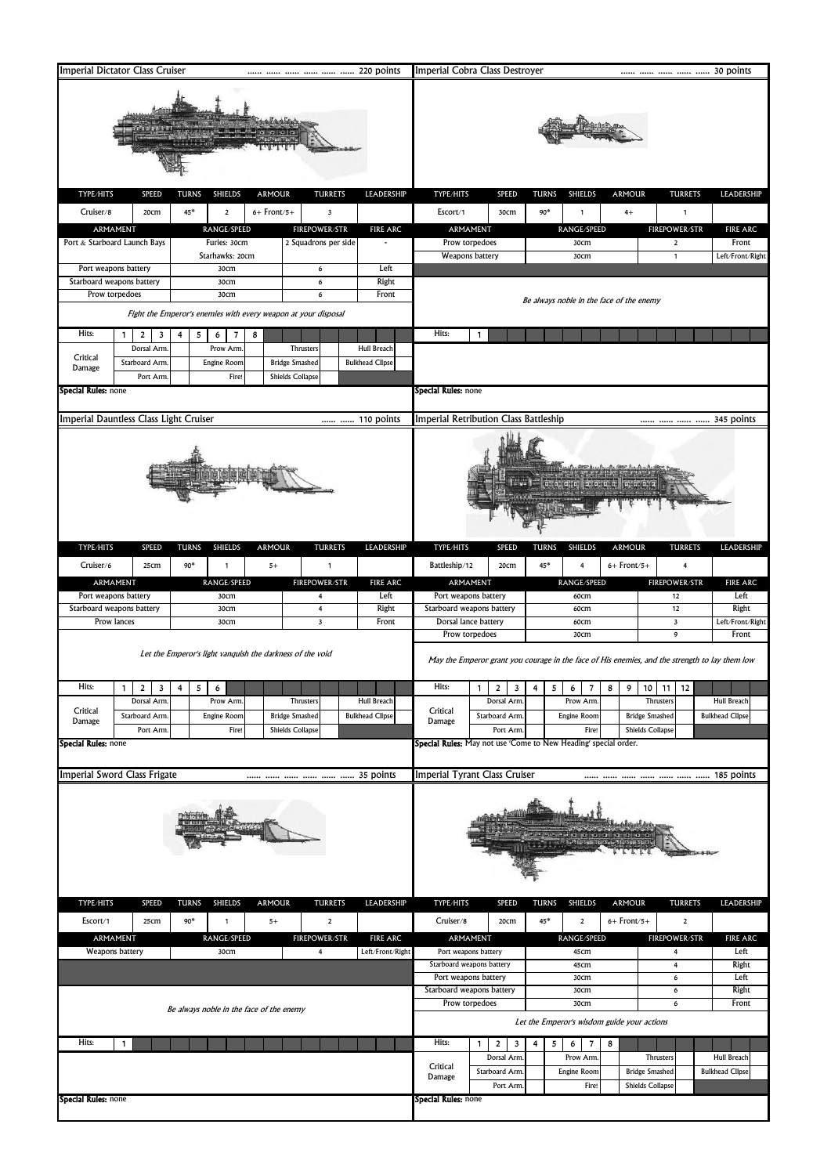| Imperial Dictator Class Cruiser                                       |                                                                | 220 points                                       |                                     | Imperial Cobra Class Destroyer              |                                                                 |                                                                                                |               | 30 points                       |                           |
|-----------------------------------------------------------------------|----------------------------------------------------------------|--------------------------------------------------|-------------------------------------|---------------------------------------------|-----------------------------------------------------------------|------------------------------------------------------------------------------------------------|---------------|---------------------------------|---------------------------|
|                                                                       |                                                                |                                                  |                                     |                                             |                                                                 |                                                                                                |               |                                 |                           |
| TYPE/HITS<br><b>SPEED</b>                                             | <b>ARMOUR</b><br><b>TURNS</b><br>SHIELDS                       | <b>TURRETS</b>                                   | LEADERSHIP                          | TYPE/HITS                                   | SPEED                                                           | <b>TURNS</b><br><b>SHIELDS</b>                                                                 | <b>ARMOUR</b> | <b>TURRETS</b>                  | LEADERSHIP                |
| Cruiser/8<br>20cm                                                     | $6+$ Front/5+<br>$45*$<br>$\overline{2}$                       | 3                                                |                                     | Escort/1                                    | 30cm                                                            | 90*<br>1                                                                                       | $4+$          | 1                               |                           |
| ARMAMENT                                                              | RANGE/SPEED                                                    | <b>FIREPOWER/STR</b>                             | <b>FIRE ARC</b>                     | ARMAMENT                                    |                                                                 | RANGE/SPEED                                                                                    |               | <b>FIREPOWER/STR</b>            | <b>FIRE ARC</b>           |
| Port & Starboard Launch Bays                                          | Furies: 30cm<br>Starhawks: 20cm                                | 2 Squadrons per side                             |                                     | Prow torpedoes<br>Weapons battery           |                                                                 | 30cm<br>30cm                                                                                   |               | 2<br>1                          | Front<br>Left/Front/Right |
| Port weapons battery                                                  | 30cm                                                           | 6                                                | Left                                |                                             |                                                                 |                                                                                                |               |                                 |                           |
| Starboard weapons battery                                             | 30cm                                                           | 6                                                | Right                               |                                             |                                                                 |                                                                                                |               |                                 |                           |
| Prow torpedoes<br>Front<br>30cm<br>6                                  |                                                                |                                                  |                                     |                                             |                                                                 | Be always noble in the face of the enemy                                                       |               |                                 |                           |
|                                                                       | Fight the Emperor's enemies with every weapon at your disposal |                                                  |                                     |                                             |                                                                 |                                                                                                |               |                                 |                           |
| Hits:<br>1<br>$\overline{2}$<br>3                                     | 8<br>4<br>5<br>6                                               |                                                  |                                     | Hits:                                       | $\mathbf{1}$                                                    |                                                                                                |               |                                 |                           |
| Dorsal Arm<br>Critical                                                | Prow Arm                                                       | Thrusters                                        | Hull Breach                         |                                             |                                                                 |                                                                                                |               |                                 |                           |
| Starboard Arm<br>Damage<br>Port Arm                                   | Engine Room<br>Fire!                                           | <b>Bridge Smashed</b><br><b>Shields Collapse</b> | <b>Bulkhead Clipse</b>              |                                             |                                                                 |                                                                                                |               |                                 |                           |
| Special Rules: none                                                   |                                                                |                                                  |                                     | Special Rules: none                         |                                                                 |                                                                                                |               |                                 |                           |
|                                                                       |                                                                |                                                  |                                     |                                             |                                                                 |                                                                                                |               |                                 |                           |
| Imperial Dauntless Class Light Cruiser                                |                                                                |                                                  | 110 points                          | Imperial Retribution Class Battleship       |                                                                 |                                                                                                |               |                                 | 345 points                |
|                                                                       |                                                                |                                                  |                                     |                                             |                                                                 |                                                                                                |               |                                 |                           |
| TYPE/HITS<br>SPEED                                                    | <b>ARMOUR</b><br><b>TURNS</b><br><b>SHIELDS</b>                | <b>TURRETS</b>                                   | LEADERSHIP                          | TYPE/HITS                                   | SPEED                                                           | <b>TURNS</b><br>SHIELDS                                                                        | <b>ARMOUR</b> | <b>TURRETS</b>                  | LEADERSHIP                |
| Cruiser/6<br>25cm                                                     | $90*$<br>$5+$<br>$\mathbf{1}$                                  | $\mathbf{1}$                                     |                                     | Battleship/12                               | 20cm                                                            | 45*                                                                                            | $6+$ Front/5+ | 4                               |                           |
| ARMAMENT<br>Port weapons battery                                      | RANGE/SPEED<br>30cm                                            | <b>FIREPOWER/STR</b><br>4                        | <b>FIRE ARC</b><br>Left             | ARMAMENT<br>Port weapons battery            |                                                                 | RANGE/SPEED<br>60cm                                                                            |               | <b>FIREPOWER/STR</b><br>12      | <b>FIRE ARC</b><br>Left   |
| Starboard weapons battery                                             | 30cm                                                           | 4                                                | Right                               | Starboard weapons battery                   |                                                                 | 60cm                                                                                           |               |                                 | Right                     |
| Prow lances                                                           | 30cm                                                           | $\overline{\mathbf{3}}$                          | Front                               | Dorsal lance battery                        |                                                                 | 60cm                                                                                           |               | $\mathbf 3$                     | Left/Front/Right          |
|                                                                       |                                                                |                                                  |                                     | Prow torpedoes                              |                                                                 | 30cm                                                                                           |               | 9                               | Front                     |
|                                                                       | Let the Emperor's light vanquish the darkness of the void      |                                                  |                                     |                                             |                                                                 | May the Emperor grant you courage in the face of His enemies, and the strength to lay them low |               |                                 |                           |
| Hits:                                                                 |                                                                |                                                  |                                     | Hits:                                       |                                                                 |                                                                                                |               |                                 |                           |
| $\overline{\mathbf{3}}$<br>$\mathbf{2}$<br>$\mathbf{1}$<br>Dorsal Arm | 5<br>4<br>$\circ$<br>Prow Arm.                                 | <b>Thrusters</b>                                 | Hull Breach                         |                                             | 2 <sup>1</sup><br>3 <sup>1</sup><br>$\mathbf{1}$<br>Dorsal Arm. | 4<br>5<br>Prow Arm                                                                             |               | $6$ 7 8 9 10 11 12<br>Thrusters | <b>Hull Breach</b>        |
| Critical<br>Starboard Arm<br>Damage                                   | Engine Room                                                    | <b>Bridge Smashed</b>                            | <b>Bulkhead Clipse</b>              | Critical<br>Damage                          | Starboard Arm                                                   | Engine Room                                                                                    |               | <b>Bridge Smashed</b>           | <b>Bulkhead Clipse</b>    |
| Port Arm                                                              | Fire!                                                          | <b>Shields Collapse</b>                          |                                     |                                             | Port Arm.                                                       | Fire!                                                                                          |               | <b>Shields Collapse</b>         |                           |
| <b>Special Rules: none</b>                                            |                                                                |                                                  |                                     |                                             |                                                                 | Special Rules: May not use 'Come to New Heading' special order.                                |               |                                 |                           |
|                                                                       |                                                                |                                                  |                                     |                                             |                                                                 |                                                                                                |               |                                 |                           |
| Imperial Sword Class Frigate                                          |                                                                |                                                  |                                     | Imperial Tyrant Class Cruiser               |                                                                 |                                                                                                |               |                                 |                           |
|                                                                       |                                                                |                                                  |                                     |                                             |                                                                 |                                                                                                |               |                                 |                           |
| TYPE/HITS<br>SPEED                                                    | <b>SHIELDS</b><br><b>TURNS</b><br><b>ARMOUR</b>                | <b>TURRETS</b>                                   | LEADERSHIP                          | TYPE/HITS                                   | <b>SPEED</b>                                                    | <b>TURNS</b><br><b>SHIELDS</b>                                                                 | <b>ARMOUR</b> | <b>TURRETS</b>                  | LEADERSHIP                |
| Escort/1<br>25cm                                                      | $90*$<br>$\mathbf{1}$<br>$5+$                                  | $\overline{2}$                                   |                                     | Cruiser/8                                   | 20cm                                                            | 45*<br>$\mathbf 2$                                                                             | $6+$ Front/5+ | $\mathbf 2$                     |                           |
| ARMAMENT<br>Weapons battery                                           | RANGE/SPEED<br>30cm                                            | <b>FIREPOWER/STR</b><br>4                        | <b>FIRE ARC</b><br>Left/Front/Right | ARMAMENT<br>Port weapons battery            |                                                                 | RANGE/SPEED<br>45cm                                                                            |               | <b>FIREPOWER/STR</b><br>4       | <b>FIRE ARC</b><br>Left   |
|                                                                       |                                                                |                                                  |                                     | Starboard weapons battery                   |                                                                 | 45cm                                                                                           |               |                                 | Right                     |
|                                                                       |                                                                |                                                  |                                     | Port weapons battery                        |                                                                 | 30cm                                                                                           |               | $\bf 6$                         | Left                      |
|                                                                       |                                                                |                                                  |                                     | Starboard weapons battery<br>Prow torpedoes |                                                                 | 30cm<br>30cm                                                                                   |               | 6<br>6                          | Right<br>Front            |
|                                                                       | Be always noble in the face of the enemy                       |                                                  |                                     |                                             |                                                                 | Let the Emperor's wisdom guide your actions                                                    |               |                                 |                           |
|                                                                       |                                                                |                                                  |                                     |                                             |                                                                 |                                                                                                |               |                                 |                           |
| Hits:<br>$\mathbf{1}$                                                 |                                                                |                                                  |                                     | Hits:                                       | 2<br>1<br>3<br>Dorsal Arm.                                      | 5<br>4<br>6<br>7<br>Prow Arm                                                                   | 8             | Thrusters                       | <b>Hull Breach</b>        |
|                                                                       |                                                                |                                                  |                                     | Critical                                    | Starboard Arm                                                   | Engine Room                                                                                    |               | <b>Bridge Smashed</b>           | <b>Bulkhead Clipse</b>    |
|                                                                       |                                                                |                                                  |                                     | Damage                                      | Port Arm                                                        | Fire!                                                                                          |               | <b>Shields Collapse</b>         |                           |
| <b>Special Rules: none</b>                                            |                                                                |                                                  |                                     | <b>Special Rules:</b> none                  |                                                                 |                                                                                                |               |                                 |                           |